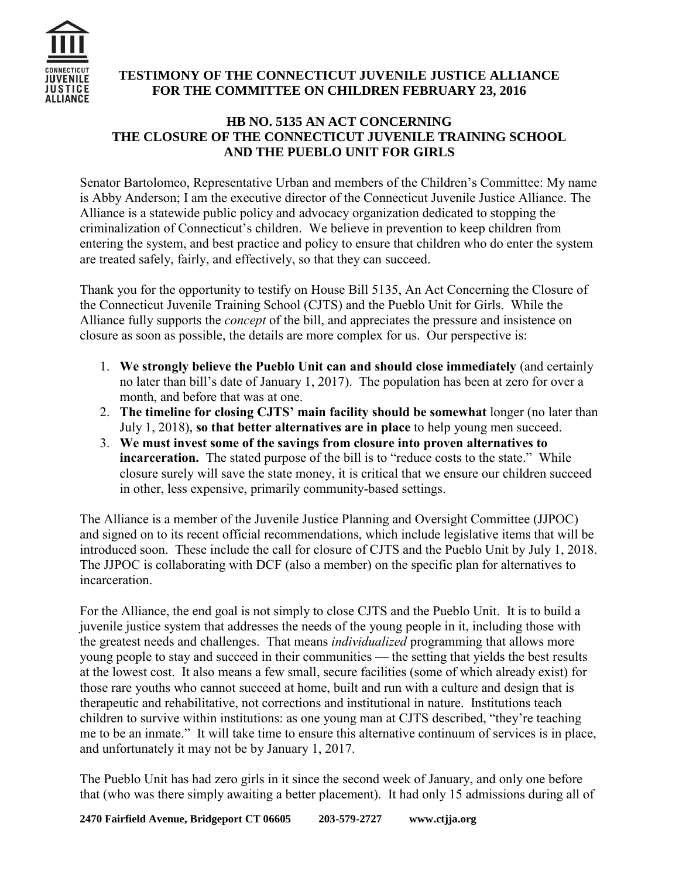

## **TESTIMONY OF THE CONNECTICUT JUVENILE JUSTICE ALLIANCE FOR THE COMMITTEE ON CHILDREN FEBRUARY 23, 2016**

## **HB NO. 5135 AN ACT CONCERNING THE CLOSURE OF THE CONNECTICUT JUVENILE TRAINING SCHOOL AND THE PUEBLO UNIT FOR GIRLS**

Senator Bartolomeo, Representative Urban and members of the Children's Committee: My name is Abby Anderson; I am the executive director of the Connecticut Juvenile Justice Alliance. The Alliance is a statewide public policy and advocacy organization dedicated to stopping the criminalization of Connecticut's children. We believe in prevention to keep children from entering the system, and best practice and policy to ensure that children who do enter the system are treated safely, fairly, and effectively, so that they can succeed.

Thank you for the opportunity to testify on House Bill 5135, An Act Concerning the Closure of the Connecticut Juvenile Training School (CJTS) and the Pueblo Unit for Girls. While the Alliance fully supports the *concept* of the bill, and appreciates the pressure and insistence on closure as soon as possible, the details are more complex for us. Our perspective is:

- 1. **We strongly believe the Pueblo Unit can and should close immediately** (and certainly no later than bill's date of January 1, 2017). The population has been at zero for over a month, and before that was at one.
- 2. **The timeline for closing CJTS' main facility should be somewhat** longer (no later than July 1, 2018), **so that better alternatives are in place** to help young men succeed.
- 3. **We must invest some of the savings from closure into proven alternatives to incarceration.** The stated purpose of the bill is to "reduce costs to the state." While closure surely will save the state money, it is critical that we ensure our children succeed in other, less expensive, primarily community-based settings.

The Alliance is a member of the Juvenile Justice Planning and Oversight Committee (JJPOC) and signed on to its recent official recommendations, which include legislative items that will be introduced soon. These include the call for closure of CJTS and the Pueblo Unit by July 1, 2018. The JJPOC is collaborating with DCF (also a member) on the specific plan for alternatives to incarceration.

For the Alliance, the end goal is not simply to close CJTS and the Pueblo Unit. It is to build a juvenile justice system that addresses the needs of the young people in it, including those with the greatest needs and challenges. That means *individualized* programming that allows more young people to stay and succeed in their communities — the setting that yields the best results at the lowest cost. It also means a few small, secure facilities (some of which already exist) for those rare youths who cannot succeed at home, built and run with a culture and design that is therapeutic and rehabilitative, not corrections and institutional in nature. Institutions teach children to survive within institutions: as one young man at CJTS described, "they're teaching me to be an inmate." It will take time to ensure this alternative continuum of services is in place, and unfortunately it may not be by January 1, 2017.

The Pueblo Unit has had zero girls in it since the second week of January, and only one before that (who was there simply awaiting a better placement). It had only 15 admissions during all of

**2470 Fairfield Avenue, Bridgeport CT 06605 203-579-2727 www.ctjja.org**